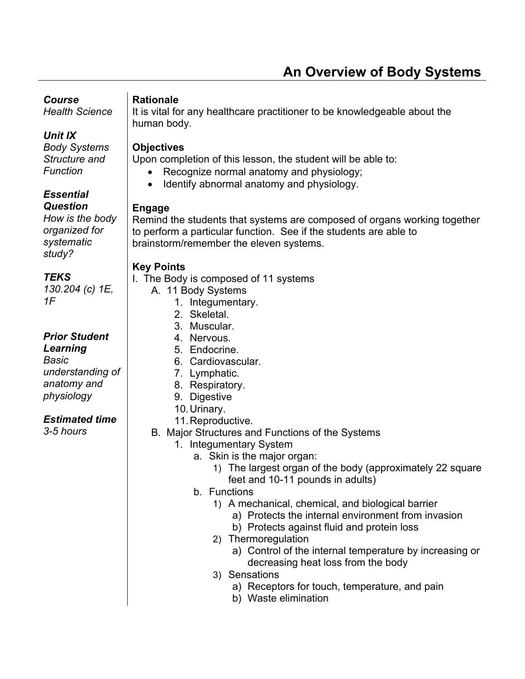# **An Overview of Body Systems**

# *Course*

*Health Science* 

## *Unit IX*

*Body Systems Structure and Function* 

#### *Essential Question*

*How is the body organized for systematic study?* 

*TEKS 130.204 (c) 1E, 1F* 

## *Prior Student*

*Learning Basic understanding of anatomy and physiology* 

## *Estimated time*

*3-5 hours* 

#### **Rationale**

It is vital for any healthcare practitioner to be knowledgeable about the human body.

## **Objectives**

Upon completion of this lesson, the student will be able to:

- Recognize normal anatomy and physiology;
- Identify abnormal anatomy and physiology.

## **Engage**

Remind the students that systems are composed of organs working together to perform a particular function. See if the students are able to brainstorm/remember the eleven systems.

## **Key Points**

I. The Body is composed of 11 systems

- A. 11 Body Systems
	- 1. Integumentary.
	- 2. Skeletal.
	- 3. Muscular.
	- 4. Nervous.
	- 5. Endocrine.
	- 6. Cardiovascular.
	- 7. Lymphatic.
	- 8. Respiratory.
	- 9. Digestive
	- 10. Urinary.
	- 11. Reproductive.
- B. Major Structures and Functions of the Systems
	- 1. Integumentary System
		- a. Skin is the major organ:
			- 1) The largest organ of the body (approximately 22 square feet and 10-11 pounds in adults)
		- b. Functions
			- 1) A mechanical, chemical, and biological barrier
				- a) Protects the internal environment from invasion
				- b) Protects against fluid and protein loss
			- 2) Thermoregulation
				- a) Control of the internal temperature by increasing or decreasing heat loss from the body
			- 3) Sensations
				- a) Receptors for touch, temperature, and pain
				- b) Waste elimination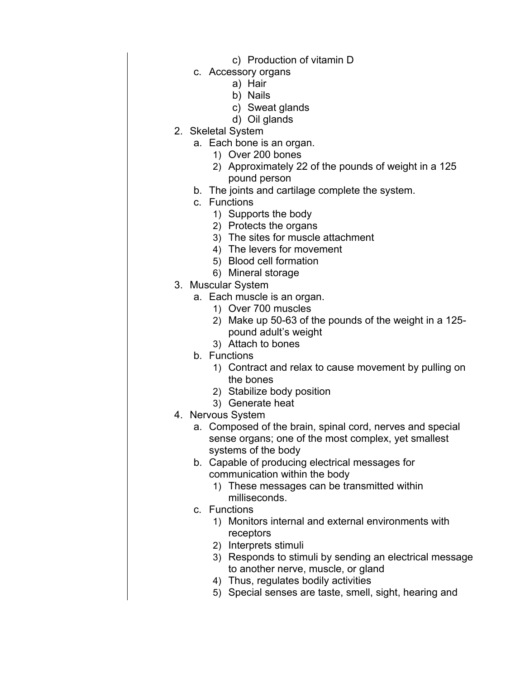- c) Production of vitamin D
- c. Accessory organs
	- a) Hair
	- b) Nails
	- c) Sweat glands
	- d) Oil glands
- 2. Skeletal System
	- a. Each bone is an organ.
		- 1) Over 200 bones
		- 2) Approximately 22 of the pounds of weight in a 125 pound person
	- b. The joints and cartilage complete the system.
	- c. Functions
		- 1) Supports the body
		- 2) Protects the organs
		- 3) The sites for muscle attachment
		- 4) The levers for movement
		- 5) Blood cell formation
		- 6) Mineral storage
- 3. Muscular System
	- a. Each muscle is an organ.
		- 1) Over 700 muscles
		- 2) Make up 50-63 of the pounds of the weight in a 125 pound adult's weight
		- 3) Attach to bones
	- b. Functions
		- 1) Contract and relax to cause movement by pulling on the bones
		- 2) Stabilize body position
		- 3) Generate heat
- 4. Nervous System
	- a. Composed of the brain, spinal cord, nerves and special sense organs; one of the most complex, yet smallest systems of the body
	- b. Capable of producing electrical messages for communication within the body
		- 1) These messages can be transmitted within milliseconds.
	- c. Functions
		- 1) Monitors internal and external environments with receptors
		- 2) Interprets stimuli
		- 3) Responds to stimuli by sending an electrical message to another nerve, muscle, or gland
		- 4) Thus, regulates bodily activities
		- 5) Special senses are taste, smell, sight, hearing and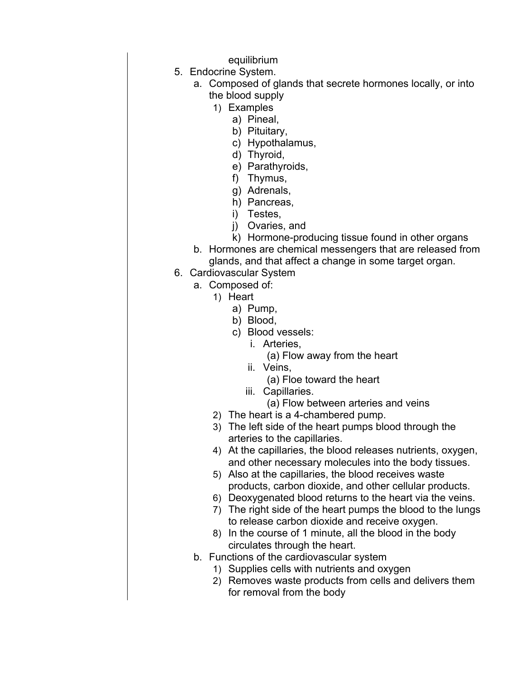equilibrium

- 5. Endocrine System.
	- a. Composed of glands that secrete hormones locally, or into the blood supply
		- 1) Examples
			- a) Pineal,
			- b) Pituitary,
			- c) Hypothalamus,
			- d) Thyroid,
			- e) Parathyroids,
			- f) Thymus,
			- g) Adrenals,
			- h) Pancreas,
			- i) Testes,
			- j) Ovaries, and
			- k) Hormone-producing tissue found in other organs
	- b. Hormones are chemical messengers that are released from glands, and that affect a change in some target organ.
- 6. Cardiovascular System
	- a. Composed of:
		- 1) Heart
			- a) Pump,
			- b) Blood,
			- c) Blood vessels:
				- i. Arteries,
					- (a) Flow away from the heart
				- ii. Veins,
					- (a) Floe toward the heart
				- iii. Capillaries.
					- (a) Flow between arteries and veins
		- 2) The heart is a 4-chambered pump.
		- 3) The left side of the heart pumps blood through the arteries to the capillaries.
		- 4) At the capillaries, the blood releases nutrients, oxygen, and other necessary molecules into the body tissues.
		- 5) Also at the capillaries, the blood receives waste products, carbon dioxide, and other cellular products.
		- 6) Deoxygenated blood returns to the heart via the veins.
		- 7) The right side of the heart pumps the blood to the lungs to release carbon dioxide and receive oxygen.
		- 8) In the course of 1 minute, all the blood in the body circulates through the heart.
	- b. Functions of the cardiovascular system
		- 1) Supplies cells with nutrients and oxygen
		- 2) Removes waste products from cells and delivers them for removal from the body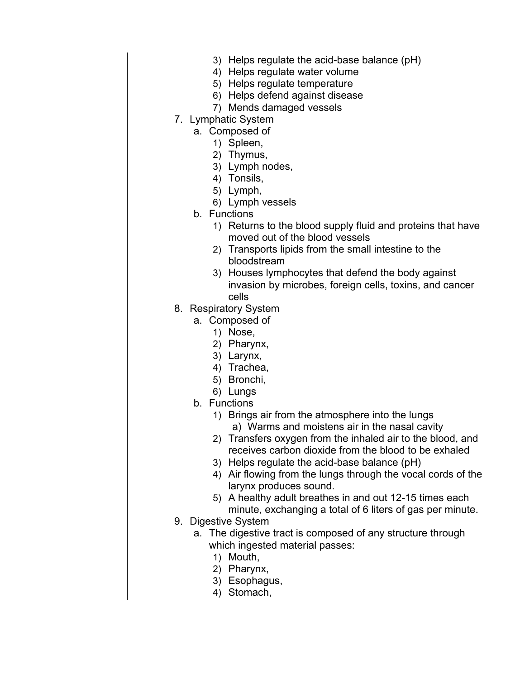- 3) Helps regulate the acid-base balance (pH)
- 4) Helps regulate water volume
- 5) Helps regulate temperature
- 6) Helps defend against disease
- 7) Mends damaged vessels
- 7. Lymphatic System
	- a. Composed of
		- 1) Spleen,
		- 2) Thymus,
		- 3) Lymph nodes,
		- 4) Tonsils,
		- 5) Lymph,
		- 6) Lymph vessels
	- b. Functions
		- 1) Returns to the blood supply fluid and proteins that have moved out of the blood vessels
		- 2) Transports lipids from the small intestine to the bloodstream
		- 3) Houses lymphocytes that defend the body against invasion by microbes, foreign cells, toxins, and cancer cells
- 8. Respiratory System
	- a. Composed of
		- 1) Nose,
		- 2) Pharynx,
		- 3) Larynx,
		- 4) Trachea,
		- 5) Bronchi,
		- 6) Lungs
		- b. Functions
			- 1) Brings air from the atmosphere into the lungs a) Warms and moistens air in the nasal cavity
			- 2) Transfers oxygen from the inhaled air to the blood, and receives carbon dioxide from the blood to be exhaled
			- 3) Helps regulate the acid-base balance (pH)
			- 4) Air flowing from the lungs through the vocal cords of the larynx produces sound.
			- 5) A healthy adult breathes in and out 12-15 times each minute, exchanging a total of 6 liters of gas per minute.
- 9. Digestive System
	- a. The digestive tract is composed of any structure through which ingested material passes:
		- 1) Mouth,
		- 2) Pharynx,
		- 3) Esophagus,
		- 4) Stomach,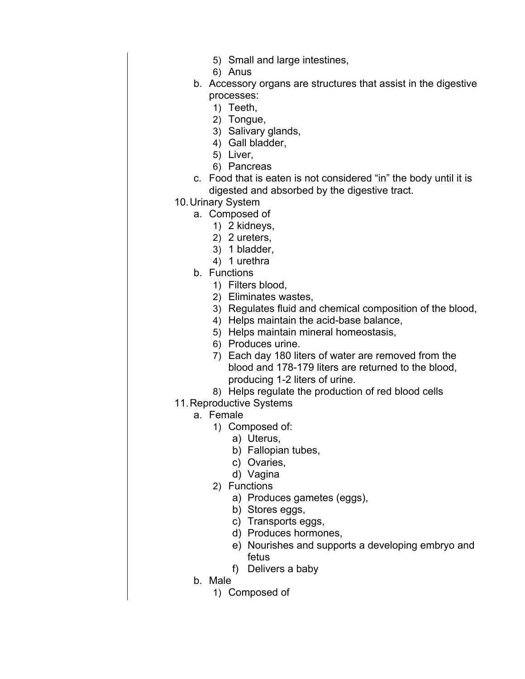- 5) Small and large intestines,
- 6) Anus
- b. Accessory organs are structures that assist in the digestive processes:
	- 1) Teeth,
	- 2) Tongue,
	- 3) Salivary glands,
	- 4) Gall bladder,
	- 5) Liver,
	- 6) Pancreas
- c. Food that is eaten is not considered "in" the body until it is digested and absorbed by the digestive tract.
- 10. Urinary System
	- a. Composed of
		- 1) 2 kidneys,
		- 2) 2 ureters,
		- 3) 1 bladder,
		- 4) 1 urethra
	- b. Functions
		- 1) Filters blood,
		- 2) Eliminates wastes,
		- 3) Regulates fluid and chemical composition of the blood,
		- 4) Helps maintain the acid-base balance,
		- 5) Helps maintain mineral homeostasis,
		- 6) Produces urine.
		- 7) Each day 180 liters of water are removed from the blood and 178-179 liters are returned to the blood, producing 1-2 liters of urine.
		- 8) Helps regulate the production of red blood cells
- 11. Reproductive Systems
	- a. Female
		- 1) Composed of:
			- a) Uterus,
			- b) Fallopian tubes,
			- c) Ovaries,
			- d) Vagina
		- 2) Functions
			- a) Produces gametes (eggs),
			- b) Stores eggs,
			- c) Transports eggs,
			- d) Produces hormones,
			- e) Nourishes and supports a developing embryo and fetus
			- f) Delivers a baby
	- b. Male
		- 1) Composed of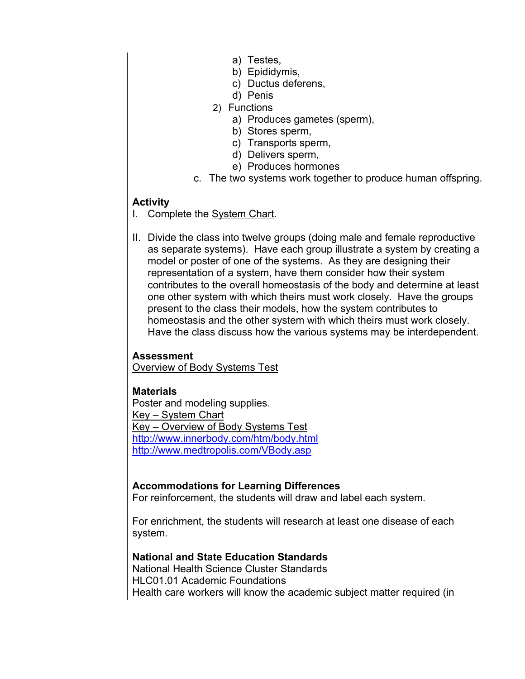- a) Testes,
- b) Epididymis,
- c) Ductus deferens,
- d) Penis
- 2) Functions
	- a) Produces gametes (sperm),
	- b) Stores sperm,
	- c) Transports sperm,
	- d) Delivers sperm,
	- e) Produces hormones
- c. The two systems work together to produce human offspring.

#### **Activity**

- I. Complete the System Chart.
- II. Divide the class into twelve groups (doing male and female reproductive as separate systems). Have each group illustrate a system by creating a model or poster of one of the systems. As they are designing their representation of a system, have them consider how their system contributes to the overall homeostasis of the body and determine at least one other system with which theirs must work closely. Have the groups present to the class their models, how the system contributes to homeostasis and the other system with which theirs must work closely. Have the class discuss how the various systems may be interdependent.

#### **Assessment**

Overview of Body Systems Test

#### **Materials**

Poster and modeling supplies. Key – System Chart Key – Overview of Body Systems Test http://www.innerbody.com/htm/body.html http://www.medtropolis.com/VBody.asp

#### **Accommodations for Learning Differences**

For reinforcement, the students will draw and label each system.

For enrichment, the students will research at least one disease of each system.

#### **National and State Education Standards**

National Health Science Cluster Standards HLC01.01 Academic Foundations Health care workers will know the academic subject matter required (in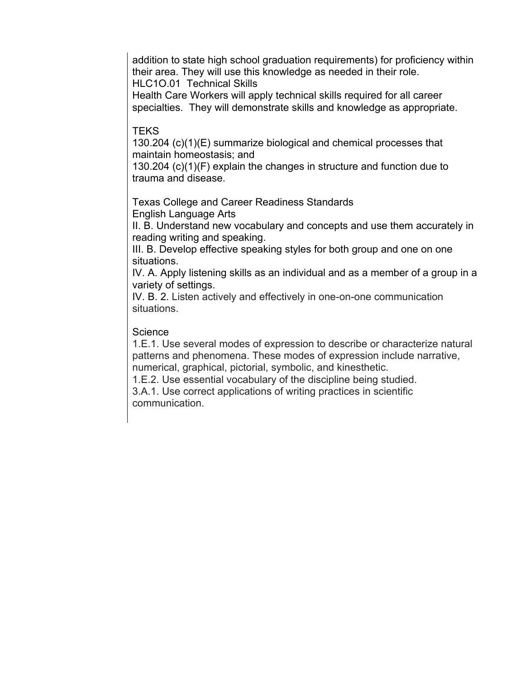addition to state high school graduation requirements) for proficiency within their area. They will use this knowledge as needed in their role. HLC1O.01 Technical Skills

Health Care Workers will apply technical skills required for all career specialties. They will demonstrate skills and knowledge as appropriate.

#### **TEKS**

130.204 (c)(1)(E) summarize biological and chemical processes that maintain homeostasis; and

130.204 (c)(1)(F) explain the changes in structure and function due to trauma and disease.

Texas College and Career Readiness Standards English Language Arts

II. B. Understand new vocabulary and concepts and use them accurately in reading writing and speaking.

III. B. Develop effective speaking styles for both group and one on one situations.

IV. A. Apply listening skills as an individual and as a member of a group in a variety of settings.

IV. B. 2. Listen actively and effectively in one-on-one communication situations.

#### **Science**

1.E.1. Use several modes of expression to describe or characterize natural patterns and phenomena. These modes of expression include narrative, numerical, graphical, pictorial, symbolic, and kinesthetic.

1.E.2. Use essential vocabulary of the discipline being studied.

3.A.1. Use correct applications of writing practices in scientific communication.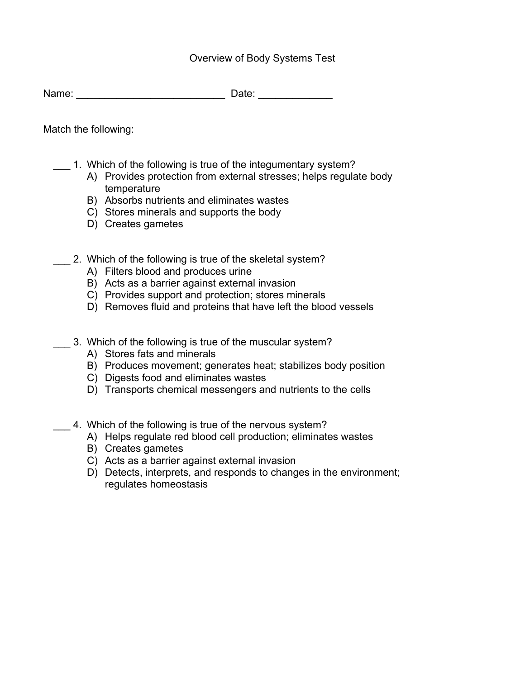#### Overview of Body Systems Test

Name: \_\_\_\_\_\_\_\_\_\_\_\_\_\_\_\_\_\_\_\_\_\_\_\_\_\_ Date: \_\_\_\_\_\_\_\_\_\_\_\_\_

Match the following:

- \_\_\_ 1. Which of the following is true of the integumentary system?
	- A) Provides protection from external stresses; helps regulate body temperature
	- B) Absorbs nutrients and eliminates wastes
	- C) Stores minerals and supports the body
	- D) Creates gametes
- 2. Which of the following is true of the skeletal system?
	- A) Filters blood and produces urine
	- B) Acts as a barrier against external invasion
	- C) Provides support and protection; stores minerals
	- D) Removes fluid and proteins that have left the blood vessels
- \_\_\_ 3. Which of the following is true of the muscular system?
	- A) Stores fats and minerals
	- B) Produces movement; generates heat; stabilizes body position
	- C) Digests food and eliminates wastes
	- D) Transports chemical messengers and nutrients to the cells
- 4. Which of the following is true of the nervous system?
	- A) Helps regulate red blood cell production; eliminates wastes
	- B) Creates gametes
	- C) Acts as a barrier against external invasion
	- D) Detects, interprets, and responds to changes in the environment; regulates homeostasis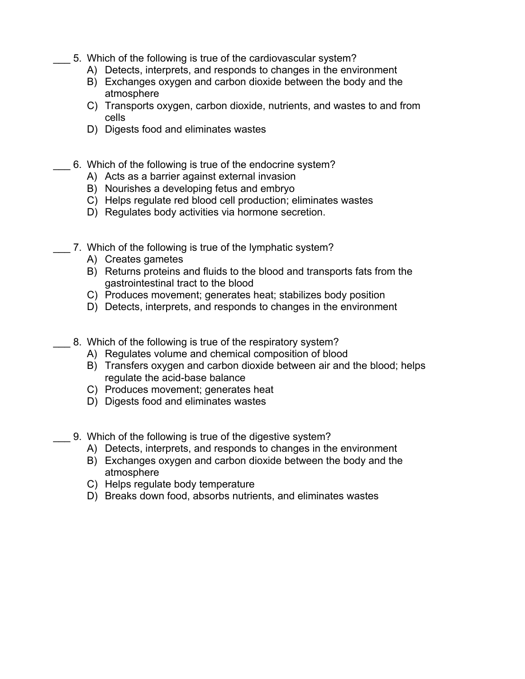- 5. Which of the following is true of the cardiovascular system?
	- A) Detects, interprets, and responds to changes in the environment
	- B) Exchanges oxygen and carbon dioxide between the body and the atmosphere
	- C) Transports oxygen, carbon dioxide, nutrients, and wastes to and from cells
	- D) Digests food and eliminates wastes
- 6. Which of the following is true of the endocrine system?
	- A) Acts as a barrier against external invasion
	- B) Nourishes a developing fetus and embryo
	- C) Helps regulate red blood cell production; eliminates wastes
	- D) Regulates body activities via hormone secretion.
- 7. Which of the following is true of the lymphatic system?
	- A) Creates gametes
	- B) Returns proteins and fluids to the blood and transports fats from the gastrointestinal tract to the blood
	- C) Produces movement; generates heat; stabilizes body position
	- D) Detects, interprets, and responds to changes in the environment
- 8. Which of the following is true of the respiratory system?
	- A) Regulates volume and chemical composition of blood
	- B) Transfers oxygen and carbon dioxide between air and the blood; helps regulate the acid-base balance
	- C) Produces movement; generates heat
	- D) Digests food and eliminates wastes
	- \_\_\_ 9. Which of the following is true of the digestive system?
		- A) Detects, interprets, and responds to changes in the environment
		- B) Exchanges oxygen and carbon dioxide between the body and the atmosphere
		- C) Helps regulate body temperature
		- D) Breaks down food, absorbs nutrients, and eliminates wastes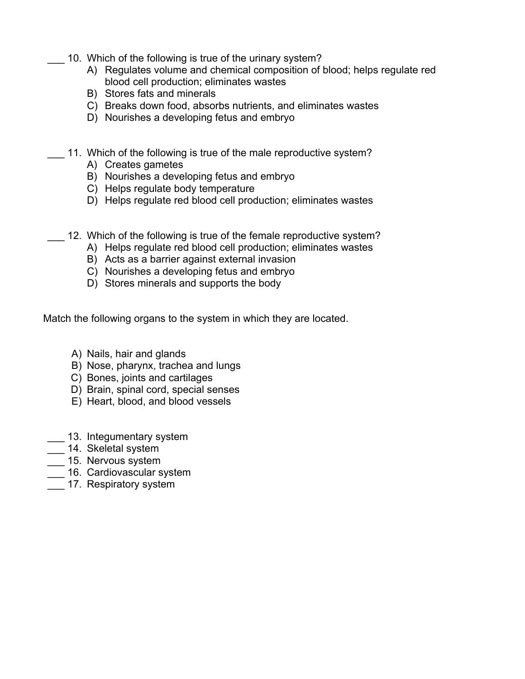- 10. Which of the following is true of the urinary system?
	- A) Regulates volume and chemical composition of blood; helps regulate red blood cell production; eliminates wastes
	- B) Stores fats and minerals
	- C) Breaks down food, absorbs nutrients, and eliminates wastes
	- D) Nourishes a developing fetus and embryo
- 11. Which of the following is true of the male reproductive system?
	- A) Creates gametes
	- B) Nourishes a developing fetus and embryo
	- C) Helps regulate body temperature
	- D) Helps regulate red blood cell production; eliminates wastes
- 12. Which of the following is true of the female reproductive system?
	- A) Helps regulate red blood cell production; eliminates wastes
	- B) Acts as a barrier against external invasion
	- C) Nourishes a developing fetus and embryo
	- D) Stores minerals and supports the body

Match the following organs to the system in which they are located.

- A) Nails, hair and glands
- B) Nose, pharynx, trachea and lungs
- C) Bones, joints and cartilages
- D) Brain, spinal cord, special senses
- E) Heart, blood, and blood vessels
- \_\_\_ 13. Integumentary system
- \_\_\_ 14. Skeletal system
- $\frac{-}{\sqrt{2}}$  15. Nervous system
- 16. Cardiovascular system
- 17. Respiratory system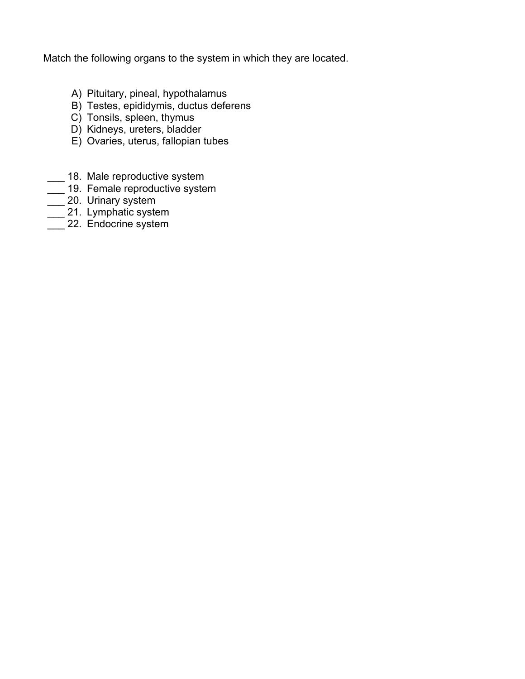Match the following organs to the system in which they are located.

- A) Pituitary, pineal, hypothalamus
- B) Testes, epididymis, ductus deferens
- C) Tonsils, spleen, thymus
- D) Kidneys, ureters, bladder
- E) Ovaries, uterus, fallopian tubes
- \_ 18. Male reproductive system
- \_\_\_ 19. Female reproductive system
- **20. Urinary system**
- $\overline{\phantom{a}}$  21. Lymphatic system
- $\frac{1}{\sqrt{2}}$  22. Endocrine system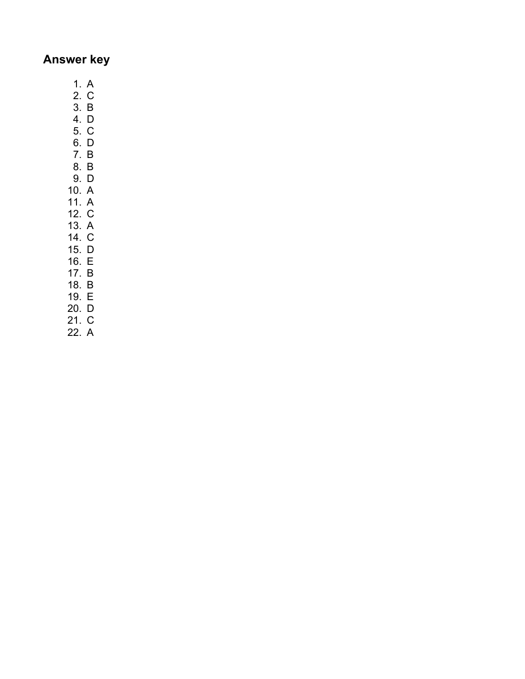## **Answer key**

- 1. A
- 2. C
- 3. B 4. D
- 5. C
- 6. D
- 7. B
- 8. B
- 9. D 10. A
- 11. A
- 12. C
- 13. A
- 14. C
- 15. D 16. E
- 17. B
- 18. B
- 19. E
- 20. D
- 21. C
- 22. A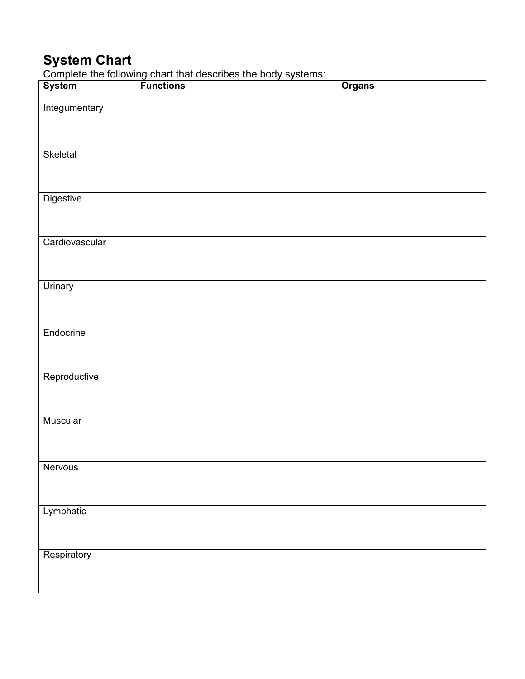## **System Chart**

Complete the following chart that describes the body systems:

| System         | .<br>-------<br><b>Functions</b> | <b>Organs</b> |
|----------------|----------------------------------|---------------|
| Integumentary  |                                  |               |
| Skeletal       |                                  |               |
| Digestive      |                                  |               |
| Cardiovascular |                                  |               |
| Urinary        |                                  |               |
| Endocrine      |                                  |               |
| Reproductive   |                                  |               |
| Muscular       |                                  |               |
| Nervous        |                                  |               |
| Lymphatic      |                                  |               |
| Respiratory    |                                  |               |